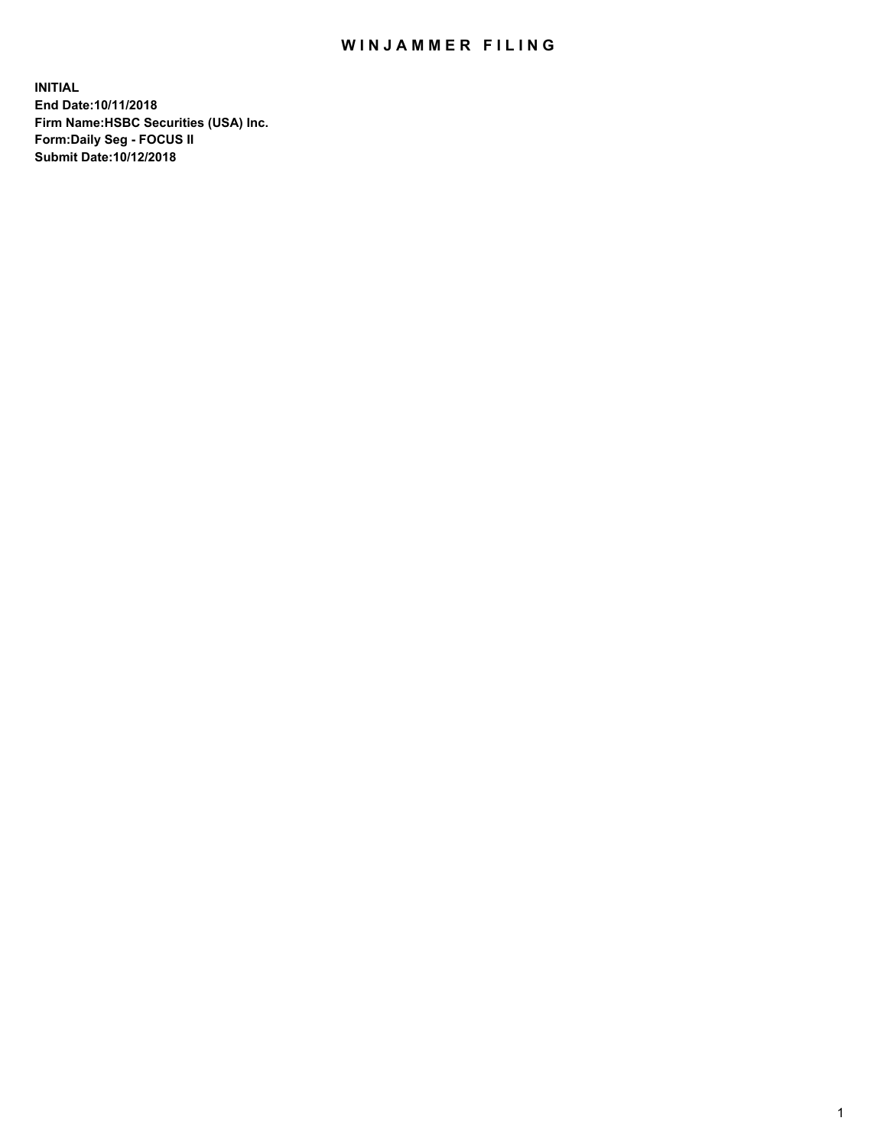## WIN JAMMER FILING

**INITIAL End Date:10/11/2018 Firm Name:HSBC Securities (USA) Inc. Form:Daily Seg - FOCUS II Submit Date:10/12/2018**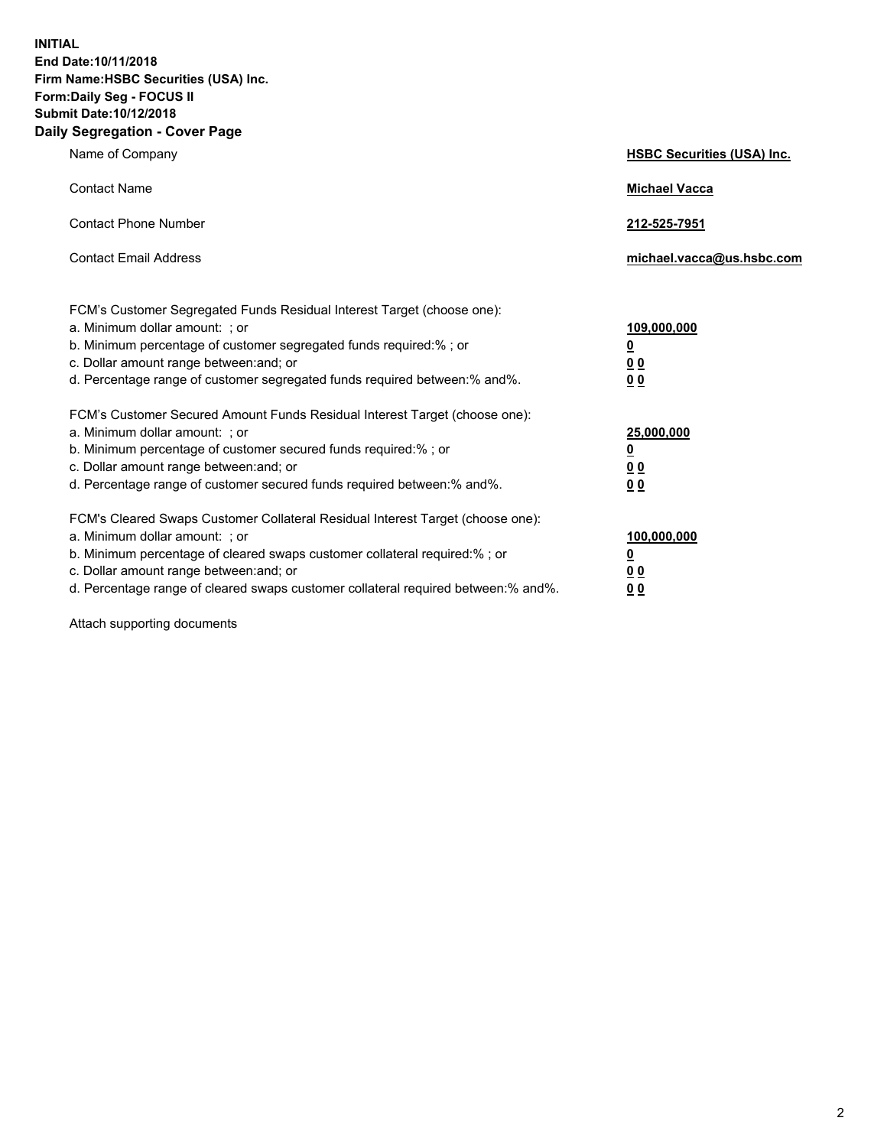**INITIAL End Date:10/11/2018 Firm Name:HSBC Securities (USA) Inc. Form:Daily Seg - FOCUS II Submit Date:10/12/2018 Daily Segregation - Cover Page**

| Name of Company                                                                                                                                                                                                                                                                                                                | <b>HSBC Securities (USA) Inc.</b>                                          |
|--------------------------------------------------------------------------------------------------------------------------------------------------------------------------------------------------------------------------------------------------------------------------------------------------------------------------------|----------------------------------------------------------------------------|
| <b>Contact Name</b>                                                                                                                                                                                                                                                                                                            | <b>Michael Vacca</b>                                                       |
| <b>Contact Phone Number</b>                                                                                                                                                                                                                                                                                                    | 212-525-7951                                                               |
| <b>Contact Email Address</b>                                                                                                                                                                                                                                                                                                   | michael.vacca@us.hsbc.com                                                  |
| FCM's Customer Segregated Funds Residual Interest Target (choose one):<br>a. Minimum dollar amount: : or<br>b. Minimum percentage of customer segregated funds required:% ; or<br>c. Dollar amount range between: and; or<br>d. Percentage range of customer segregated funds required between:% and%.                         | 109,000,000<br>$\overline{\mathbf{0}}$<br>0 <sub>0</sub><br>0 <sub>0</sub> |
| FCM's Customer Secured Amount Funds Residual Interest Target (choose one):<br>a. Minimum dollar amount: ; or<br>b. Minimum percentage of customer secured funds required:%; or<br>c. Dollar amount range between: and; or<br>d. Percentage range of customer secured funds required between:% and%.                            | 25,000,000<br><u>0</u><br>0 <sub>0</sub><br>00                             |
| FCM's Cleared Swaps Customer Collateral Residual Interest Target (choose one):<br>a. Minimum dollar amount: ; or<br>b. Minimum percentage of cleared swaps customer collateral required:% ; or<br>c. Dollar amount range between: and; or<br>d. Percentage range of cleared swaps customer collateral required between:% and%. | 100,000,000<br><u>0</u><br>00<br>0 <sub>0</sub>                            |

Attach supporting documents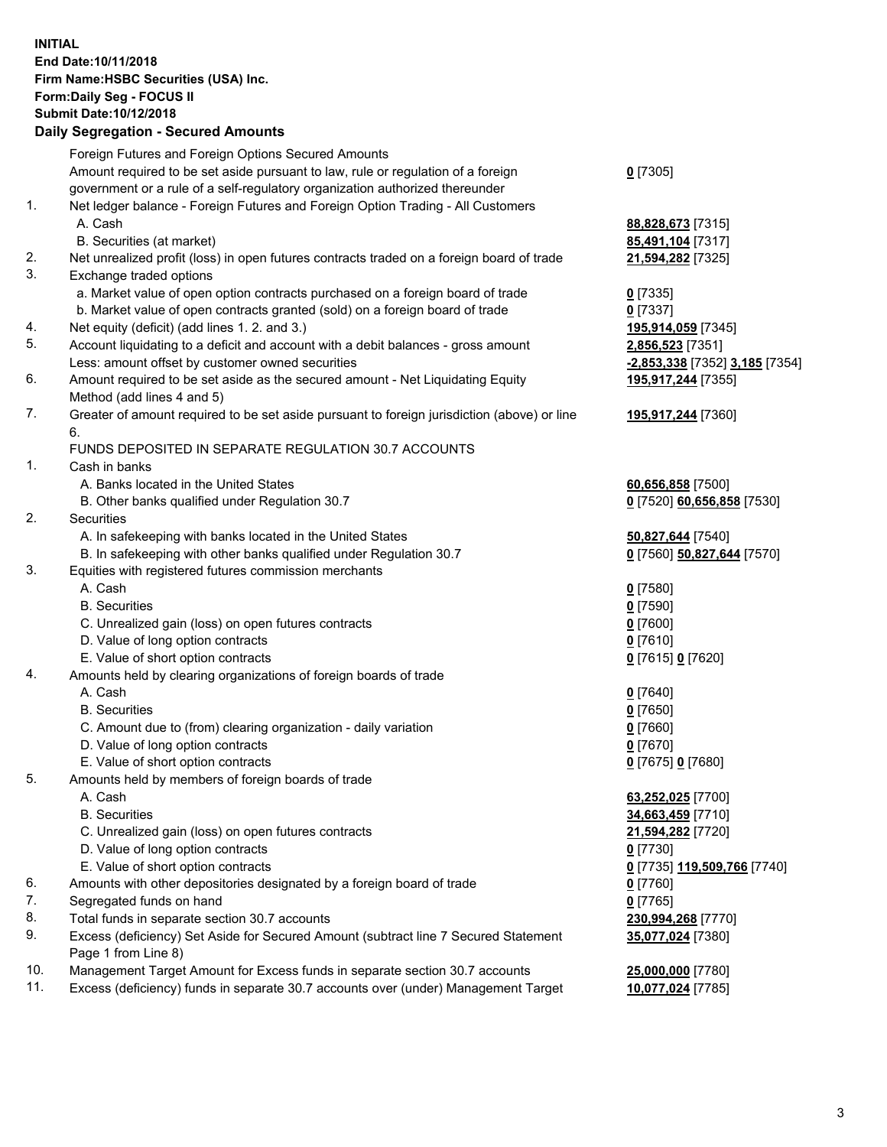**INITIAL End Date:10/11/2018 Firm Name:HSBC Securities (USA) Inc. Form:Daily Seg - FOCUS II Submit Date:10/12/2018 Daily Segregation - Secured Amounts** Foreign Futures and Foreign Options Secured Amounts Amount required to be set aside pursuant to law, rule or regulation of a foreign government or a rule of a self-regulatory organization authorized thereunder **0** [7305] 1. Net ledger balance - Foreign Futures and Foreign Option Trading - All Customers A. Cash **88,828,673** [7315] B. Securities (at market) **85,491,104** [7317] 2. Net unrealized profit (loss) in open futures contracts traded on a foreign board of trade **21,594,282** [7325] 3. Exchange traded options a. Market value of open option contracts purchased on a foreign board of trade **0** [7335] b. Market value of open contracts granted (sold) on a foreign board of trade **0** [7337] 4. Net equity (deficit) (add lines 1. 2. and 3.) **195,914,059** [7345] 5. Account liquidating to a deficit and account with a debit balances - gross amount **2,856,523** [7351] Less: amount offset by customer owned securities **-2,853,338** [7352] **3,185** [7354] 6. Amount required to be set aside as the secured amount - Net Liquidating Equity Method (add lines 4 and 5) **195,917,244** [7355] 7. Greater of amount required to be set aside pursuant to foreign jurisdiction (above) or line 6. **195,917,244** [7360] FUNDS DEPOSITED IN SEPARATE REGULATION 30.7 ACCOUNTS 1. Cash in banks A. Banks located in the United States **60,656,858** [7500] B. Other banks qualified under Regulation 30.7 **0** [7520] **60,656,858** [7530] 2. Securities A. In safekeeping with banks located in the United States **50,827,644** [7540] B. In safekeeping with other banks qualified under Regulation 30.7 **0** [7560] **50,827,644** [7570] 3. Equities with registered futures commission merchants A. Cash **0** [7580] B. Securities **0** [7590] C. Unrealized gain (loss) on open futures contracts **0** [7600] D. Value of long option contracts **0** [7610] E. Value of short option contracts **0** [7615] **0** [7620] 4. Amounts held by clearing organizations of foreign boards of trade A. Cash **0** [7640] B. Securities **0** [7650] C. Amount due to (from) clearing organization - daily variation **0** [7660] D. Value of long option contracts **0** [7670] E. Value of short option contracts **0** [7675] **0** [7680] 5. Amounts held by members of foreign boards of trade A. Cash **63,252,025** [7700] B. Securities **34,663,459** [7710] C. Unrealized gain (loss) on open futures contracts **21,594,282** [7720] D. Value of long option contracts **0** [7730] E. Value of short option contracts **0** [7735] **119,509,766** [7740] 6. Amounts with other depositories designated by a foreign board of trade **0** [7760] 7. Segregated funds on hand **0** [7765] 8. Total funds in separate section 30.7 accounts **230,994,268** [7770] 9. Excess (deficiency) Set Aside for Secured Amount (subtract line 7 Secured Statement Page 1 from Line 8) **35,077,024** [7380] 10. Management Target Amount for Excess funds in separate section 30.7 accounts **25,000,000** [7780]

11. Excess (deficiency) funds in separate 30.7 accounts over (under) Management Target **10,077,024** [7785]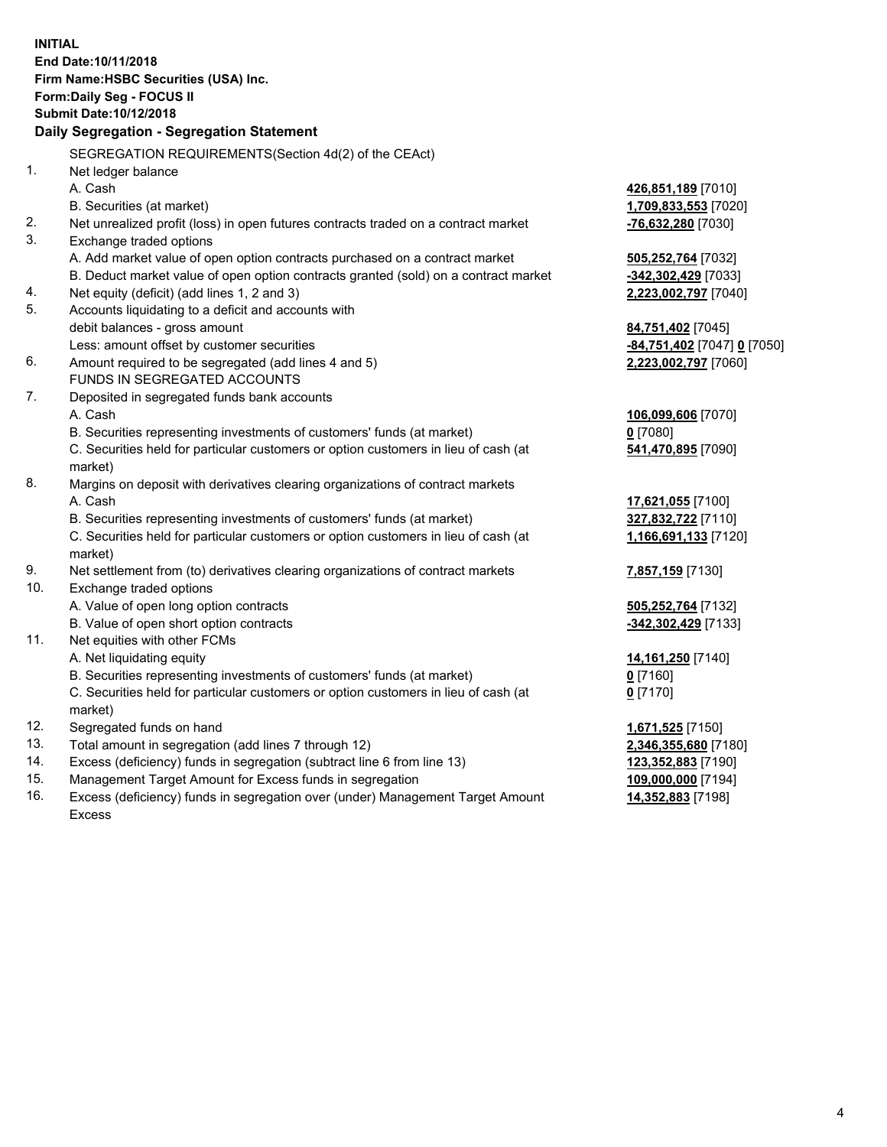**INITIAL End Date:10/11/2018 Firm Name:HSBC Securities (USA) Inc. Form:Daily Seg - FOCUS II Submit Date:10/12/2018 Daily Segregation - Segregation Statement** SEGREGATION REQUIREMENTS(Section 4d(2) of the CEAct) 1. Net ledger balance A. Cash **426,851,189** [7010] B. Securities (at market) **1,709,833,553** [7020] 2. Net unrealized profit (loss) in open futures contracts traded on a contract market **-76,632,280** [7030] 3. Exchange traded options A. Add market value of open option contracts purchased on a contract market **505,252,764** [7032] B. Deduct market value of open option contracts granted (sold) on a contract market **-342,302,429** [7033] 4. Net equity (deficit) (add lines 1, 2 and 3) **2,223,002,797** [7040] 5. Accounts liquidating to a deficit and accounts with debit balances - gross amount **84,751,402** [7045] Less: amount offset by customer securities **-84,751,402** [7047] **0** [7050] 6. Amount required to be segregated (add lines 4 and 5) **2,223,002,797** [7060] FUNDS IN SEGREGATED ACCOUNTS 7. Deposited in segregated funds bank accounts A. Cash **106,099,606** [7070] B. Securities representing investments of customers' funds (at market) **0** [7080] C. Securities held for particular customers or option customers in lieu of cash (at market) **541,470,895** [7090] 8. Margins on deposit with derivatives clearing organizations of contract markets A. Cash **17,621,055** [7100] B. Securities representing investments of customers' funds (at market) **327,832,722** [7110] C. Securities held for particular customers or option customers in lieu of cash (at market) **1,166,691,133** [7120] 9. Net settlement from (to) derivatives clearing organizations of contract markets **7,857,159** [7130] 10. Exchange traded options A. Value of open long option contracts **505,252,764** [7132] B. Value of open short option contracts **and the set of open short option contracts -342,302,429** [7133] 11. Net equities with other FCMs A. Net liquidating equity **14,161,250** [7140] B. Securities representing investments of customers' funds (at market) **0** [7160] C. Securities held for particular customers or option customers in lieu of cash (at market) **0** [7170] 12. Segregated funds on hand **1,671,525** [7150] 13. Total amount in segregation (add lines 7 through 12) **2,346,355,680** [7180] 14. Excess (deficiency) funds in segregation (subtract line 6 from line 13) **123,352,883** [7190] 15. Management Target Amount for Excess funds in segregation **109,000,000** [7194] 16. Excess (deficiency) funds in segregation over (under) Management Target Amount **14,352,883** [7198]

Excess